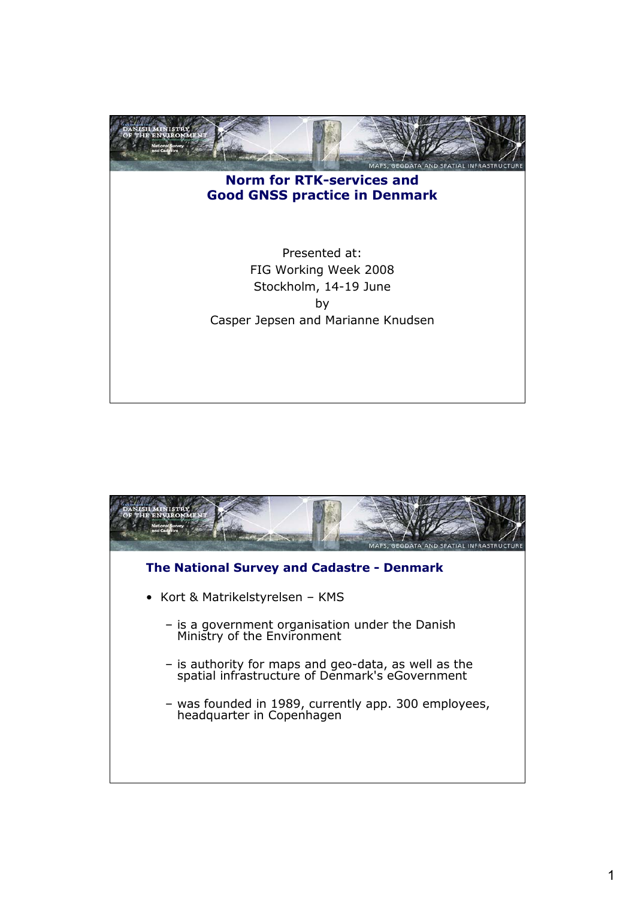

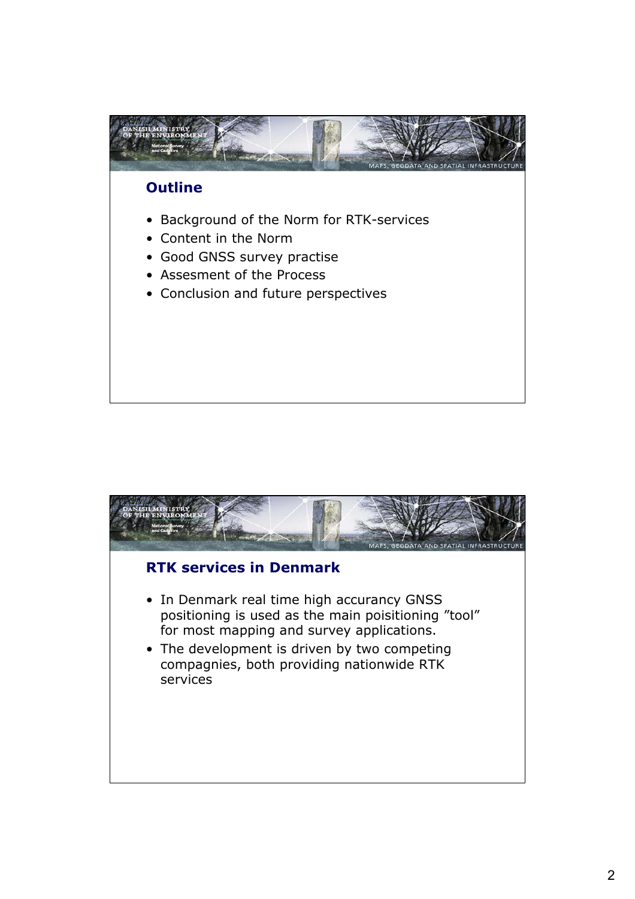

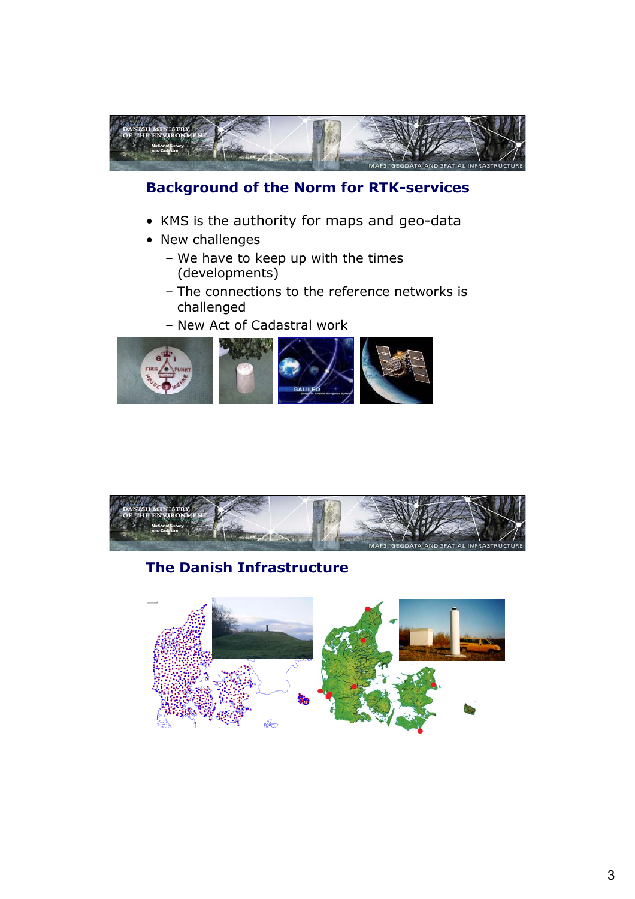

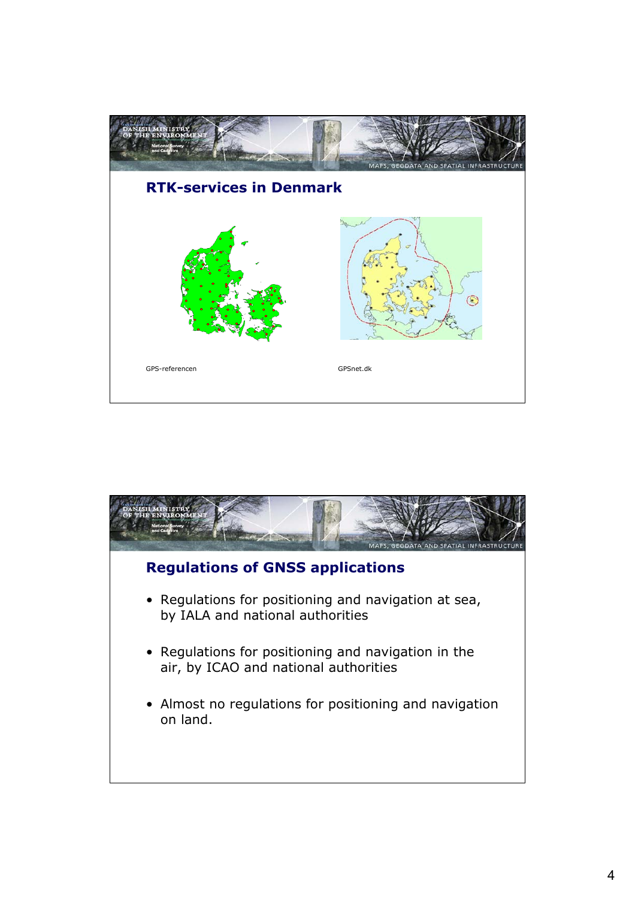

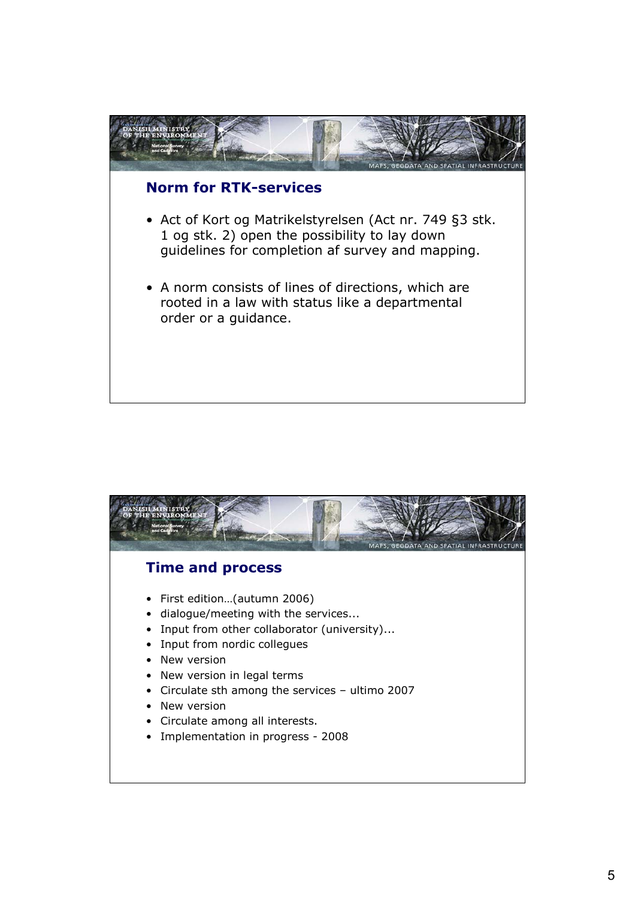

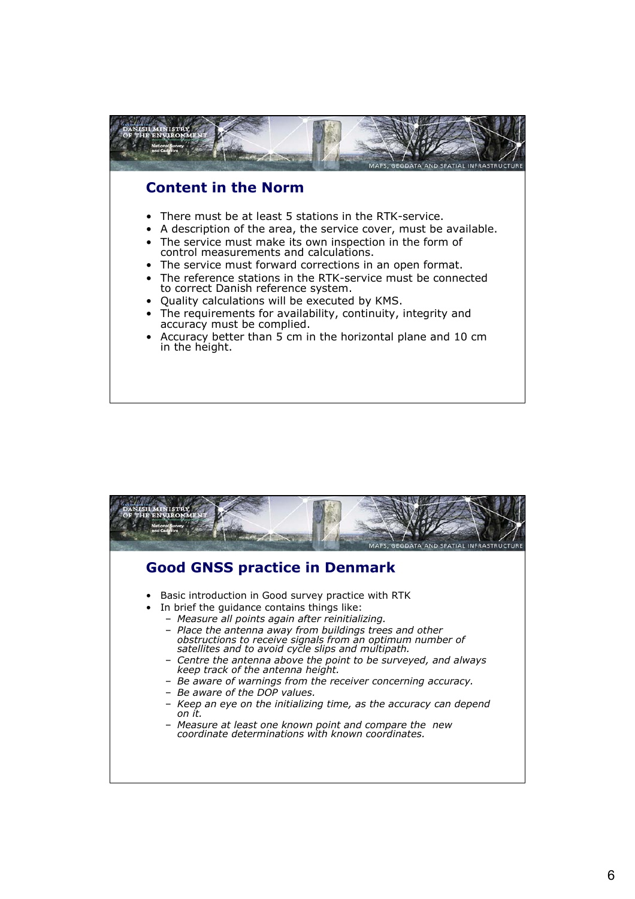